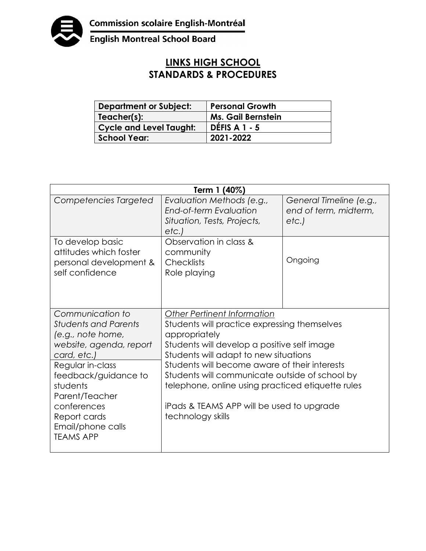

English Montreal School Board

## **LINKS HIGH SCHOOL STANDARDS & PROCEDURES**

| <b>Department or Subject:</b> | <b>Personal Growth</b>    |
|-------------------------------|---------------------------|
| Teacher(s):                   | <b>Ms. Gail Bernstein</b> |
| Cycle and Level Taught:       | <b>DÉFIS A 1 - 5</b>      |
| <b>School Year:</b>           | 2021-2022                 |

| Term 1 (40%)                                                                                                                                                                                                                                                     |                                                                                                                                                                                                                                                                                                                                                                                                                       |                                                          |  |  |
|------------------------------------------------------------------------------------------------------------------------------------------------------------------------------------------------------------------------------------------------------------------|-----------------------------------------------------------------------------------------------------------------------------------------------------------------------------------------------------------------------------------------------------------------------------------------------------------------------------------------------------------------------------------------------------------------------|----------------------------------------------------------|--|--|
| Competencies Targeted                                                                                                                                                                                                                                            | Evaluation Methods (e.g.,<br>End-of-term Evaluation<br>Situation, Tests, Projects,<br>etc.                                                                                                                                                                                                                                                                                                                            | General Timeline (e.g.,<br>end of term, midterm,<br>etc. |  |  |
| To develop basic<br>attitudes which foster<br>personal development &<br>self confidence                                                                                                                                                                          | Observation in class &<br>community<br><b>Checklists</b><br>Role playing                                                                                                                                                                                                                                                                                                                                              | Ongoing                                                  |  |  |
| Communication to<br><b>Students and Parents</b><br>(e.g., note home,<br>website, agenda, report<br>card, etc.)<br>Regular in-class<br>feedback/guidance to<br>students<br>Parent/Teacher<br>conferences<br>Report cards<br>Email/phone calls<br><b>TEAMS APP</b> | <b>Other Pertinent Information</b><br>Students will practice expressing themselves<br>appropriately<br>Students will develop a positive self image<br>Students will adapt to new situations<br>Students will become aware of their interests<br>Students will communicate outside of school by<br>telephone, online using practiced etiquette rules<br>iPads & TEAMS APP will be used to upgrade<br>technology skills |                                                          |  |  |